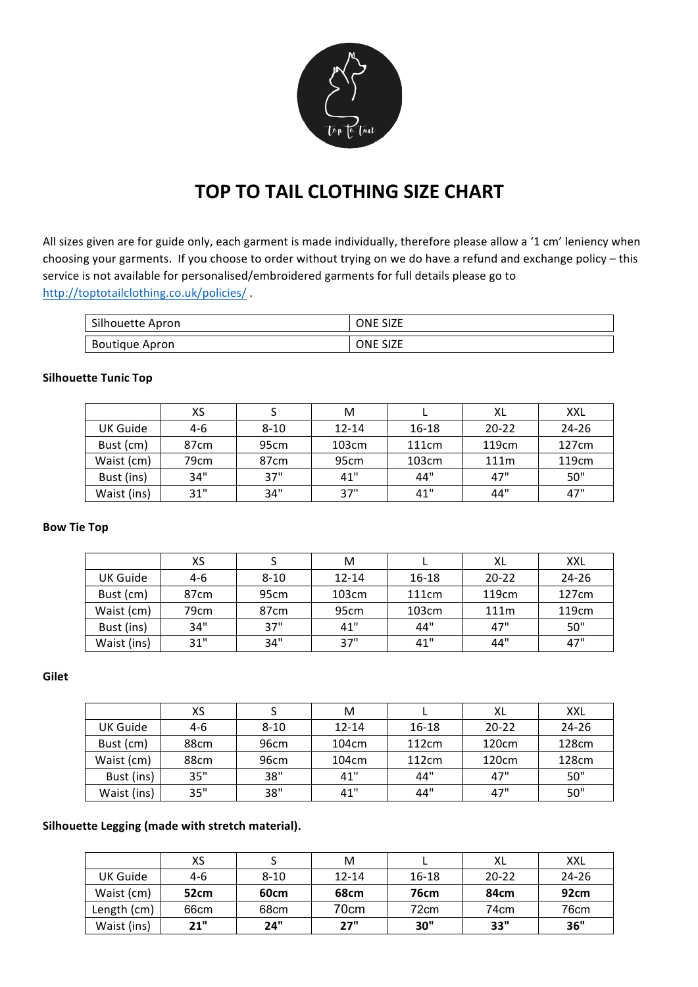

# **TOP TO TAIL CLOTHING SIZE CHART**

All sizes given are for guide only, each garment is made individually, therefore please allow a '1 cm' leniency when choosing your garments. If you choose to order without trying on we do have a refund and exchange policy – this service is not available for personalised/embroidered garments for full details please go to http://toptotailclothing.co.uk/policies/ .

| Silhouette Apron | <b>ONE SIZE</b> |
|------------------|-----------------|
| Boutique Apron   | <b>ONE SIZE</b> |

## **Silhouette Tunic Top**

|             | xs   |                  | м         |                   | XL                | XXL               |
|-------------|------|------------------|-----------|-------------------|-------------------|-------------------|
| UK Guide    | 4-6  | $8 - 10$         | $12 - 14$ | $16 - 18$         | $20 - 22$         | $24 - 26$         |
| Bust (cm)   | 87cm | 95 <sub>cm</sub> | 103cm     | 111 <sub>cm</sub> | 119 <sub>cm</sub> | 127cm             |
| Waist (cm)  | 79cm | 87 <sub>cm</sub> | 95cm      | 103cm             | 111m              | 119 <sub>cm</sub> |
| Bust (ins)  | 34"  | 37"              | 41"       | 44"               | 47"               | 50"               |
| Waist (ins) | 31"  | 34"              | 37"       | 41"               | 44"               | 47"               |

### **Bow Tie Top**

|             | хs               |                  | м         |                   | XL                | <b>XXL</b>        |
|-------------|------------------|------------------|-----------|-------------------|-------------------|-------------------|
| UK Guide    | $4-6$            | $8 - 10$         | $12 - 14$ | $16 - 18$         | $20 - 22$         | $24 - 26$         |
| Bust (cm)   | 87 <sub>cm</sub> | 95 <sub>cm</sub> | 103cm     | 111 <sub>cm</sub> | 119 <sub>cm</sub> | 127cm             |
| Waist (cm)  | 79cm             | 87 <sub>cm</sub> | 95cm      | 103cm             | 111m              | 119 <sub>cm</sub> |
| Bust (ins)  | 34"              | 37"              | 41"       | 44"               | 47"               | 50"               |
| Waist (ins) | 31"              | 34"              | 37"       | 41"               | 44"               | 47"               |

## **Gilet**

|             | xs    |          | м         |       | XL        | XXL   |
|-------------|-------|----------|-----------|-------|-----------|-------|
| UK Guide    | $4-6$ | $8 - 10$ | $12 - 14$ | 16-18 | $20 - 22$ | 24-26 |
| Bust (cm)   | 88cm  | 96cm     | 104cm     | 112cm | 120cm     | 128cm |
| Waist (cm)  | 88cm  | 96cm     | 104cm     | 112cm | 120cm     | 128cm |
| Bust (ins)  | 35"   | 38"      | 41"       | 44"   | 47"       | 50"   |
| Waist (ins) | 35"   | 38"      | 41"       | 44"   | 47"       | 50"   |

### Silhouette Legging (made with stretch material).

|             | xs    |          | M          |           | XL               | XXL       |
|-------------|-------|----------|------------|-----------|------------------|-----------|
| UK Guide    | $4-6$ | $8 - 10$ | $12 - 14$  | $16 - 18$ | $20 - 22$        | $24 - 26$ |
| Waist (cm)  | 52cm  | 60cm     | 68cm       | 76cm      | 84 <sub>cm</sub> | 92cm      |
| Length (cm) | 66cm  | 68cm     | 70cm       | 72cm      | 74cm             | 76cm      |
| Waist (ins) | 21"   | 24"      | <b>27"</b> | 30"       | 33"              | 36"       |